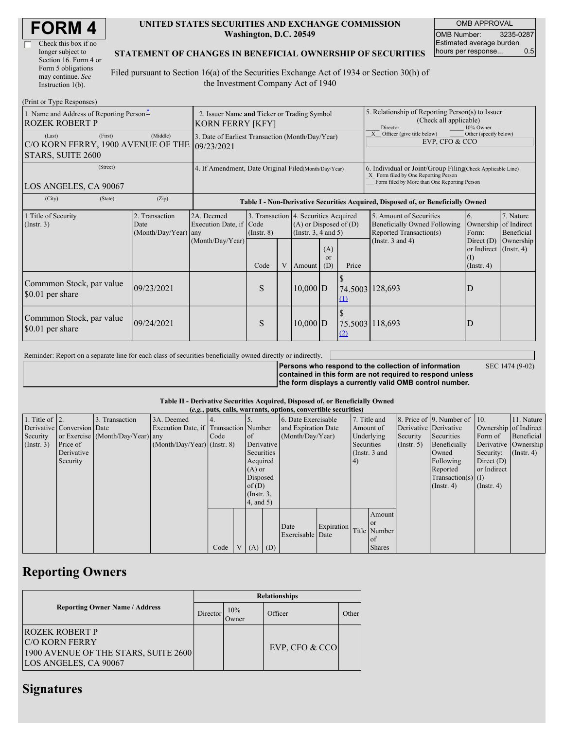| <b>FORM4</b> |
|--------------|
|--------------|

| Check this box if no  |
|-----------------------|
| longer subject to     |
| Section 16. Form 4 or |
| Form 5 obligations    |
| may continue. See     |
| Instruction $1(b)$ .  |

#### **UNITED STATES SECURITIES AND EXCHANGE COMMISSION Washington, D.C. 20549**

OMB APPROVAL OMB Number: 3235-0287 Estimated average burden hours per response... 0.5

#### **STATEMENT OF CHANGES IN BENEFICIAL OWNERSHIP OF SECURITIES**

Filed pursuant to Section 16(a) of the Securities Exchange Act of 1934 or Section 30(h) of the Investment Company Act of 1940

| (Print or Type Responses)                                                               |                                                                                                                                                                                                             |                                                                                  |      |                                                                                                                                                       |            |                         |                                                                                                                                                    |                       |                                                                   |           |  |
|-----------------------------------------------------------------------------------------|-------------------------------------------------------------------------------------------------------------------------------------------------------------------------------------------------------------|----------------------------------------------------------------------------------|------|-------------------------------------------------------------------------------------------------------------------------------------------------------|------------|-------------------------|----------------------------------------------------------------------------------------------------------------------------------------------------|-----------------------|-------------------------------------------------------------------|-----------|--|
| 1. Name and Address of Reporting Person-<br><b>ROZEK ROBERT P</b>                       | 2. Issuer Name and Ticker or Trading Symbol<br>KORN FERRY [KFY]                                                                                                                                             |                                                                                  |      |                                                                                                                                                       |            |                         | 5. Relationship of Reporting Person(s) to Issuer<br>(Check all applicable)<br>Director<br>10% Owner                                                |                       |                                                                   |           |  |
| (First)<br>(Last)<br>C/O KORN FERRY, 1900 AVENUE OF THE 09/23/2021<br>STARS, SUITE 2600 | 3. Date of Earliest Transaction (Month/Day/Year)                                                                                                                                                            |                                                                                  |      |                                                                                                                                                       |            |                         | X Officer (give title below)<br>Other (specify below)<br>EVP, CFO & CCO                                                                            |                       |                                                                   |           |  |
| (Street)<br>LOS ANGELES, CA 90067                                                       | 4. If Amendment, Date Original Filed(Month/Day/Year)                                                                                                                                                        |                                                                                  |      |                                                                                                                                                       |            |                         | 6. Individual or Joint/Group Filing Check Applicable Line)<br>X Form filed by One Reporting Person<br>Form filed by More than One Reporting Person |                       |                                                                   |           |  |
| (City)<br>(State)                                                                       | (Zip)                                                                                                                                                                                                       | Table I - Non-Derivative Securities Acquired, Disposed of, or Beneficially Owned |      |                                                                                                                                                       |            |                         |                                                                                                                                                    |                       |                                                                   |           |  |
| 1. Title of Security<br>(Insert. 3)                                                     | 2. Transaction<br>2A. Deemed<br>3. Transaction 4. Securities Acquired<br>Execution Date, if Code<br>$(A)$ or Disposed of $(D)$<br>Date<br>(Instr. 3, 4 and 5)<br>(Month/Day/Year)<br>$($ Instr. $8)$<br>any |                                                                                  |      | 5. Amount of Securities<br>7. Nature<br>6.<br>Ownership of Indirect<br>Beneficially Owned Following<br>Reported Transaction(s)<br>Form:<br>Beneficial |            |                         |                                                                                                                                                    |                       |                                                                   |           |  |
|                                                                                         |                                                                                                                                                                                                             | (Month/Day/Year)                                                                 | Code | V                                                                                                                                                     | Amount     | (A)<br><b>or</b><br>(D) | Price                                                                                                                                              | (Instr. $3$ and $4$ ) | Direct $(D)$<br>or Indirect (Instr. 4)<br>(1)<br>$($ Instr. 4 $)$ | Ownership |  |
| Commmon Stock, par value<br>\$0.01 per share                                            | 09/23/2021                                                                                                                                                                                                  |                                                                                  | S    |                                                                                                                                                       | $10,000$ D |                         | 74.5003 128,693<br>$\Omega$                                                                                                                        |                       | D                                                                 |           |  |
| Commmon Stock, par value<br>\$0.01 per share                                            | 09/24/2021                                                                                                                                                                                                  |                                                                                  | S    |                                                                                                                                                       | $10,000$ D |                         | 75.5003 118,693<br>$\Omega$                                                                                                                        |                       | D                                                                 |           |  |

Reminder: Report on a separate line for each class of securities beneficially owned directly or indirectly.

**Persons who respond to the collection of information contained in this form are not required to respond unless the form displays a currently valid OMB control number.** SEC 1474 (9-02)

**Table II - Derivative Securities Acquired, Disposed of, or Beneficially Owned**

|                        |                            |                                  |                                       |      |                |     | (e.g., puts, calls, warrants, options, convertible securities) |            |                |                  |              |                          |                       |                  |
|------------------------|----------------------------|----------------------------------|---------------------------------------|------|----------------|-----|----------------------------------------------------------------|------------|----------------|------------------|--------------|--------------------------|-----------------------|------------------|
| 1. Title of $\vert$ 2. |                            | 3. Transaction                   | 3A. Deemed                            |      |                |     | 6. Date Exercisable                                            |            | 7. Title and   |                  |              | 8. Price of 9. Number of | $\vert$ 10.           | 11. Nature       |
|                        | Derivative Conversion Date |                                  | Execution Date, if Transaction Number |      |                |     | and Expiration Date                                            | Amount of  |                |                  |              | Derivative Derivative    | Ownership of Indirect |                  |
| Security               |                            | or Exercise (Month/Day/Year) any |                                       | Code | of             |     | (Month/Day/Year)                                               |            | Underlying     |                  | Security     | Securities               | Form of               | Beneficial       |
| $($ Instr. 3 $)$       | Price of                   |                                  | $(Month/Day/Year)$ (Instr. 8)         |      | Derivative     |     |                                                                | Securities |                | $($ Instr. 5 $)$ | Beneficially | Derivative Ownership     |                       |                  |
|                        | Derivative                 |                                  |                                       |      | Securities     |     |                                                                |            | (Instr. 3 and  |                  |              | Owned                    | Security:             | $($ Instr. 4 $)$ |
|                        | Security                   |                                  |                                       |      | Acquired       |     |                                                                |            | 4 <sup>1</sup> |                  |              | Following                | Direct $(D)$          |                  |
|                        |                            |                                  |                                       |      | $(A)$ or       |     |                                                                |            |                |                  |              | Reported                 | or Indirect           |                  |
|                        |                            |                                  |                                       |      | Disposed       |     |                                                                |            |                |                  |              | Transaction(s) $(I)$     |                       |                  |
|                        |                            |                                  |                                       |      | of $(D)$       |     |                                                                |            |                |                  |              | $($ Instr. 4 $)$         | $($ Instr. 4 $)$      |                  |
|                        |                            |                                  |                                       |      | $($ Instr. 3,  |     |                                                                |            |                |                  |              |                          |                       |                  |
|                        |                            |                                  |                                       |      | $4$ , and $5)$ |     |                                                                |            |                |                  |              |                          |                       |                  |
|                        |                            |                                  |                                       |      |                |     |                                                                |            |                | Amount           |              |                          |                       |                  |
|                        |                            |                                  |                                       |      |                |     |                                                                | Expiration |                | l or             |              |                          |                       |                  |
|                        |                            |                                  |                                       |      |                |     | Date<br>Exercisable Date                                       |            |                | Title Number     |              |                          |                       |                  |
|                        |                            |                                  |                                       |      |                |     |                                                                |            |                | l of             |              |                          |                       |                  |
|                        |                            |                                  |                                       | Code | V(A)           | (D) |                                                                |            |                | <b>Shares</b>    |              |                          |                       |                  |

## **Reporting Owners**

|                                                                                                                 | <b>Relationships</b> |              |                  |       |  |  |  |  |
|-----------------------------------------------------------------------------------------------------------------|----------------------|--------------|------------------|-------|--|--|--|--|
| <b>Reporting Owner Name / Address</b>                                                                           |                      | 10%<br>Owner | Officer          | Other |  |  |  |  |
| <b>ROZEK ROBERT P</b><br><b>C/O KORN FERRY</b><br>1900 AVENUE OF THE STARS, SUITE 2600<br>LOS ANGELES, CA 90067 |                      |              | EVP, CFO $&$ CCO |       |  |  |  |  |

### **Signatures**